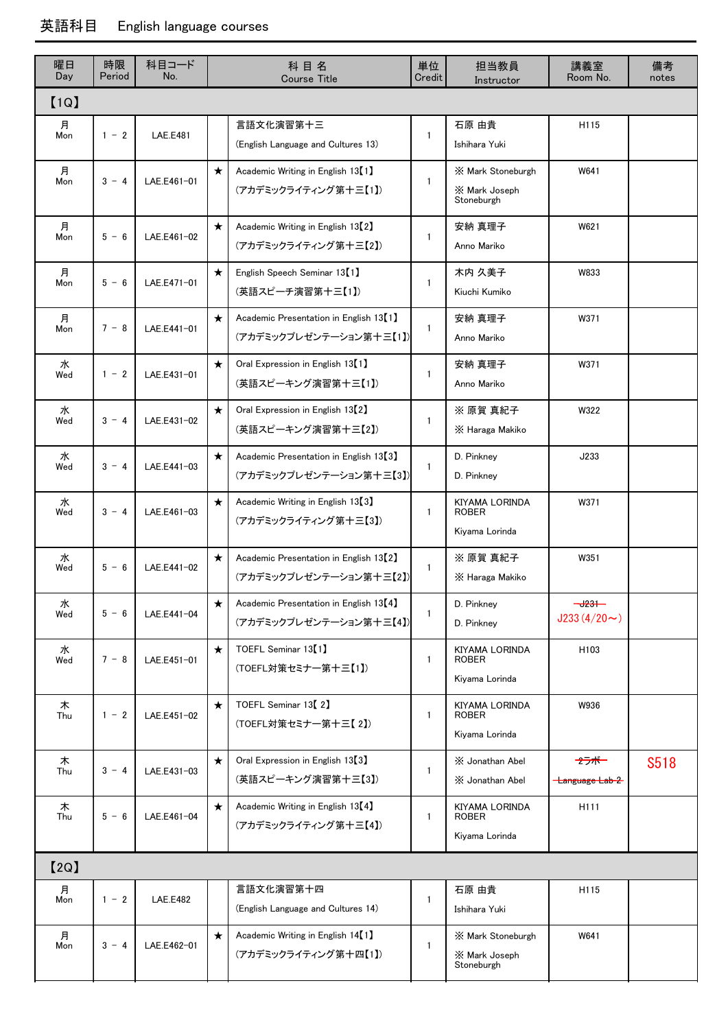## 英語科目 English language courses

| 曜日<br>Day | 時限<br>Period | 科目コード<br>No.    | 科目名<br><b>Course Title</b> |                                                                               | 単位<br>Credit | 担当教員<br>Instructor                                      | 講義室<br>Room No.                         | 備考<br>notes |  |  |  |
|-----------|--------------|-----------------|----------------------------|-------------------------------------------------------------------------------|--------------|---------------------------------------------------------|-----------------------------------------|-------------|--|--|--|
| [1Q]      |              |                 |                            |                                                                               |              |                                                         |                                         |             |  |  |  |
| 月<br>Mon  | $1 - 2$      | <b>LAE.E481</b> |                            | 言語文化演習第十三<br>(English Language and Cultures 13)                               | $\mathbf{1}$ | 石原 由貴<br>Ishihara Yuki                                  | H115                                    |             |  |  |  |
| 月<br>Mon  | $3 - 4$      | LAE.E461-01     | $\star$                    | Academic Writing in English 13 <sup>[1]</sup><br>(アカデミックライティング第十三【1】)         | 1            | X Mark Stoneburgh<br>X Mark Joseph<br>Stoneburgh        | W641                                    |             |  |  |  |
| 月<br>Mon  | $5 - 6$      | LAE.E461-02     | $\star$                    | Academic Writing in English 13 <sup>[2]</sup><br>(アカデミックライティング第十三【2】)         | $\mathbf{1}$ | 安納 真理子<br>Anno Mariko                                   | W621                                    |             |  |  |  |
| 月<br>Mon  | $5 - 6$      | LAE.E471-01     | $\star$                    | English Speech Seminar 13 <sup>[1]</sup><br>(英語スピーチ演習第十三【1】)                  | $\mathbf{1}$ | 木内 久美子<br>Kiuchi Kumiko                                 | W833                                    |             |  |  |  |
| 月<br>Mon  | $7 - 8$      | LAE.E441-01     | $\star$                    | Academic Presentation in English 13 <sup>[1]</sup><br>(アカデミックプレゼンテーション第十三【1】) | $\mathbf{1}$ | 安納 真理子<br>Anno Mariko                                   | W371                                    |             |  |  |  |
| 水<br>Wed  | $1 - 2$      | LAE.E431-01     | $\star$                    | Oral Expression in English 13 <sup>[1]</sup><br>(英語スピーキング演習第十三【1】)            | $\mathbf{1}$ | 安納 真理子<br>Anno Mariko                                   | W371                                    |             |  |  |  |
| 水<br>Wed  | $3 - 4$      | LAE.E431-02     | $\star$                    | Oral Expression in English 13 <sup>[2]</sup><br>(英語スピーキング演習第十三【2】)            | $\mathbf{1}$ | ※ 原賀 真紀子<br>X Haraga Makiko                             | W322                                    |             |  |  |  |
| 水<br>Wed  | $3 - 4$      | LAE.E441-03     | $\star$                    | Academic Presentation in English 13 <sup>[3]</sup><br>(アカデミックプレゼンテーション第十三【3】) | 1            | D. Pinkney<br>D. Pinkney                                | J233                                    |             |  |  |  |
| 水<br>Wed  | $3 - 4$      | LAE.E461-03     | $\star$                    | Academic Writing in English 13 <sup>[3]</sup><br>(アカデミックライティング第十三【3】)         | 1            | KIYAMA LORINDA<br><b>ROBER</b><br>Kiyama Lorinda        | W371                                    |             |  |  |  |
| 水<br>Wed  | $5 - 6$      | LAE.E441-02     | $\star$                    | Academic Presentation in English 13 <sup>[2]</sup><br>(アカデミックプレゼンテーション第十三【2】) | $\mathbf{1}$ | ※ 原賀 真紀子<br>X Haraga Makiko                             | W351                                    |             |  |  |  |
| 水<br>Wed  | $5 - 6$      | LAE.E441-04     | $\star$                    | Academic Presentation in English 13 <sup>[4]</sup><br>(アカデミックプレゼンテーション第十三【4】) | 1            | D. Pinkney<br>D. Pinkney                                | <del>- J231 -</del><br>$J233(4/20\sim)$ |             |  |  |  |
| 水<br>Wed  | $7 - 8$      | LAE.E451-01     | $\star$                    | TOEFL Seminar 13 <sup>[1]</sup><br>(TOEFL対策セミナー第十三【1】)                        | $\mathbf{1}$ | <b>KIYAMA LORINDA</b><br><b>ROBER</b><br>Kiyama Lorinda | H103                                    |             |  |  |  |
| 木<br>Thu  | $1 - 2$      | LAE.E451-02     | $\star$                    | TOEFL Seminar 13 <sup>[2]</sup><br>(TOEFL対策セミナー第十三【2】)                        | $\mathbf{1}$ | KIYAMA LORINDA<br><b>ROBER</b><br>Kiyama Lorinda        | W936                                    |             |  |  |  |
| 木<br>Thu  | $3 - 4$      | LAE.E431-03     | $\star$                    | Oral Expression in English 13 <sup>[3]</sup><br>(英語スピーキング演習第十三【3】)            | $\mathbf{1}$ | X Jonathan Abel<br>X Jonathan Abel                      | セラボー<br>Language Lab 2                  | S518        |  |  |  |
| 木<br>Thu  | $5 - 6$      | LAE.E461-04     | $\star$                    | Academic Writing in English 13【4】<br>(アカデミックライティング第十三【4】)                     | $\mathbf{1}$ | KIYAMA LORINDA<br><b>ROBER</b><br>Kiyama Lorinda        | H111                                    |             |  |  |  |
| [2Q]      |              |                 |                            |                                                                               |              |                                                         |                                         |             |  |  |  |
| 月<br>Mon  | $1 - 2$      | <b>LAE.E482</b> |                            | 言語文化演習第十四<br>(English Language and Cultures 14)                               | 1            | 石原 由貴<br>Ishihara Yuki                                  | H115                                    |             |  |  |  |
| 月<br>Mon  | $3 - 4$      | LAE.E462-01     | $\star$                    | Academic Writing in English 14 <sup>[1]</sup><br>(アカデミックライティング第十四【1】)         | $\mathbf{1}$ | X Mark Stoneburgh<br>X Mark Joseph<br>Stoneburgh        | W641                                    |             |  |  |  |